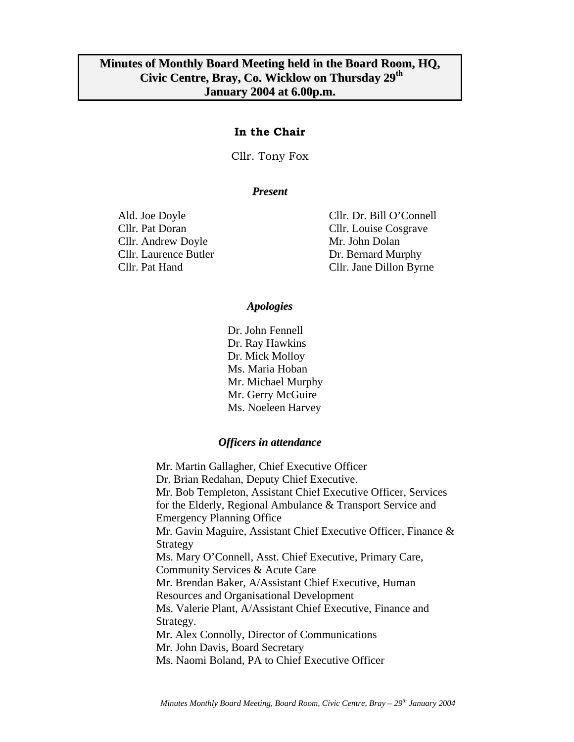### **In the Chair**

Cllr. Tony Fox

#### *Present*

Cllr. Andrew Doyle Mr. John Dolan

Ald. Joe Doyle Cllr. Dr. Bill O'Connell Cllr. Pat Doran Cllr. Louise Cosgrave Cllr. Laurence Butler Dr. Bernard Murphy Cllr. Pat Hand Cllr. Jane Dillon Byrne

#### *Apologies*

Dr. John Fennell Dr. Ray Hawkins Dr. Mick Molloy Ms. Maria Hoban Mr. Michael Murphy Mr. Gerry McGuire Ms. Noeleen Harvey

#### *Officers in attendance*

Mr. Martin Gallagher, Chief Executive Officer Dr. Brian Redahan, Deputy Chief Executive. Mr. Bob Templeton, Assistant Chief Executive Officer, Services for the Elderly, Regional Ambulance & Transport Service and Emergency Planning Office Mr. Gavin Maguire, Assistant Chief Executive Officer, Finance & Strategy Ms. Mary O'Connell, Asst. Chief Executive, Primary Care, Community Services & Acute Care Mr. Brendan Baker, A/Assistant Chief Executive, Human Resources and Organisational Development Ms. Valerie Plant, A/Assistant Chief Executive, Finance and Strategy. Mr. Alex Connolly, Director of Communications Mr. John Davis, Board Secretary Ms. Naomi Boland, PA to Chief Executive Officer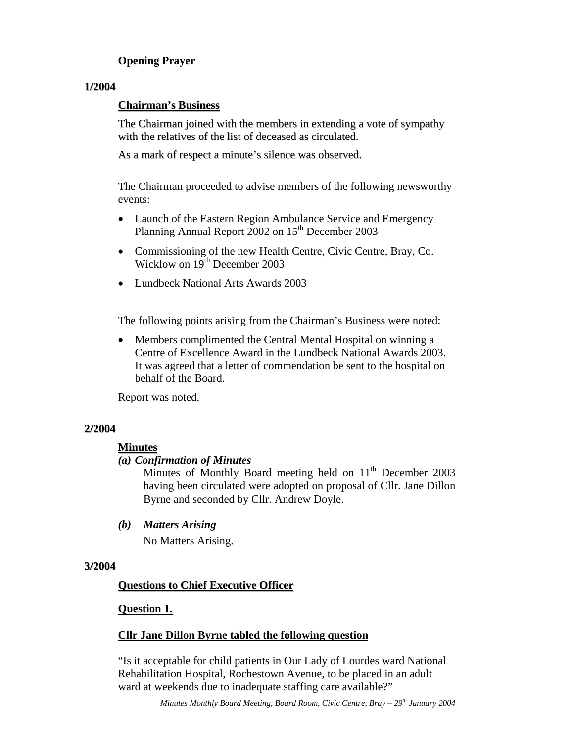# **Opening Prayer**

### **1/2004**

### **Chairman's Business**

The Chairman joined with the members in extending a vote of sympathy with the relatives of the list of deceased as circulated.

As a mark of respect a minute's silence was observed.

 The Chairman proceeded to advise members of the following newsworthy events:

- Launch of the Eastern Region Ambulance Service and Emergency Planning Annual Report  $2002$  on  $15<sup>th</sup>$  December 2003
- Commissioning of the new Health Centre, Civic Centre, Bray, Co. Wicklow on  $19^{th}$  December 2003
- Lundbeck National Arts Awards 2003

The following points arising from the Chairman's Business were noted:

• Members complimented the Central Mental Hospital on winning a Centre of Excellence Award in the Lundbeck National Awards 2003. It was agreed that a letter of commendation be sent to the hospital on behalf of the Board.

Report was noted.

### **2/2004**

### **Minutes**

### *(a) Confirmation of Minutes*

Minutes of Monthly Board meeting held on  $11<sup>th</sup>$  December 2003 having been circulated were adopted on proposal of Cllr. Jane Dillon Byrne and seconded by Cllr. Andrew Doyle.

*(b) Matters Arising* 

No Matters Arising.

### **3/2004**

### **Questions to Chief Executive Officer**

### **Question 1.**

### **Cllr Jane Dillon Byrne tabled the following question**

"Is it acceptable for child patients in Our Lady of Lourdes ward National Rehabilitation Hospital, Rochestown Avenue, to be placed in an adult ward at weekends due to inadequate staffing care available?"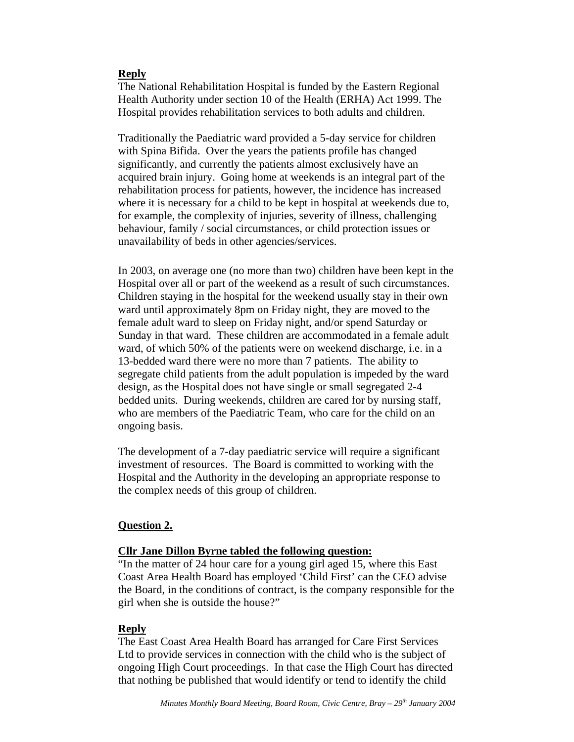### **Reply**

The National Rehabilitation Hospital is funded by the Eastern Regional Health Authority under section 10 of the Health (ERHA) Act 1999. The Hospital provides rehabilitation services to both adults and children.

Traditionally the Paediatric ward provided a 5-day service for children with Spina Bifida. Over the years the patients profile has changed significantly, and currently the patients almost exclusively have an acquired brain injury. Going home at weekends is an integral part of the rehabilitation process for patients, however, the incidence has increased where it is necessary for a child to be kept in hospital at weekends due to, for example, the complexity of injuries, severity of illness, challenging behaviour, family / social circumstances, or child protection issues or unavailability of beds in other agencies/services.

In 2003, on average one (no more than two) children have been kept in the Hospital over all or part of the weekend as a result of such circumstances. Children staying in the hospital for the weekend usually stay in their own ward until approximately 8pm on Friday night, they are moved to the female adult ward to sleep on Friday night, and/or spend Saturday or Sunday in that ward. These children are accommodated in a female adult ward, of which 50% of the patients were on weekend discharge, i.e. in a 13-bedded ward there were no more than 7 patients. The ability to segregate child patients from the adult population is impeded by the ward design, as the Hospital does not have single or small segregated 2-4 bedded units. During weekends, children are cared for by nursing staff, who are members of the Paediatric Team, who care for the child on an ongoing basis.

The development of a 7-day paediatric service will require a significant investment of resources. The Board is committed to working with the Hospital and the Authority in the developing an appropriate response to the complex needs of this group of children.

### **Question 2.**

### **Cllr Jane Dillon Byrne tabled the following question:**

"In the matter of 24 hour care for a young girl aged 15, where this East Coast Area Health Board has employed 'Child First' can the CEO advise the Board, in the conditions of contract, is the company responsible for the girl when she is outside the house?"

### **Reply**

The East Coast Area Health Board has arranged for Care First Services Ltd to provide services in connection with the child who is the subject of ongoing High Court proceedings. In that case the High Court has directed that nothing be published that would identify or tend to identify the child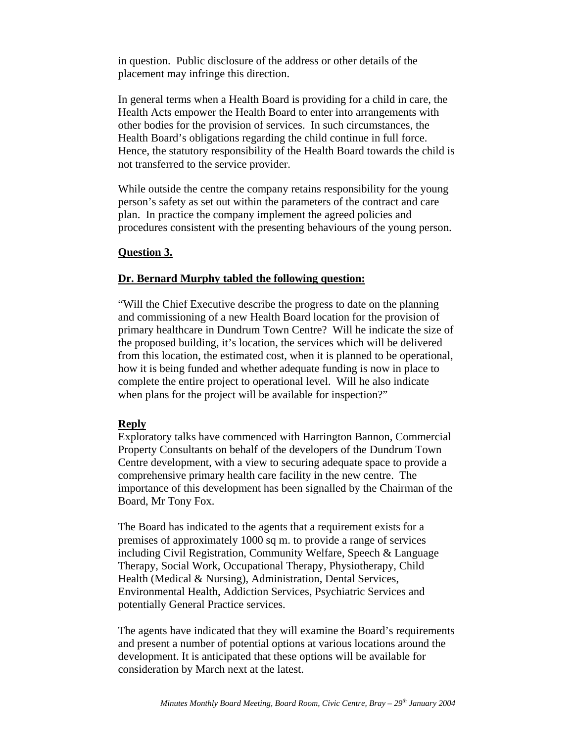in question. Public disclosure of the address or other details of the placement may infringe this direction.

In general terms when a Health Board is providing for a child in care, the Health Acts empower the Health Board to enter into arrangements with other bodies for the provision of services. In such circumstances, the Health Board's obligations regarding the child continue in full force. Hence, the statutory responsibility of the Health Board towards the child is not transferred to the service provider.

While outside the centre the company retains responsibility for the young person's safety as set out within the parameters of the contract and care plan. In practice the company implement the agreed policies and procedures consistent with the presenting behaviours of the young person.

#### **Question 3.**

#### **Dr. Bernard Murphy tabled the following question:**

"Will the Chief Executive describe the progress to date on the planning and commissioning of a new Health Board location for the provision of primary healthcare in Dundrum Town Centre? Will he indicate the size of the proposed building, it's location, the services which will be delivered from this location, the estimated cost, when it is planned to be operational, how it is being funded and whether adequate funding is now in place to complete the entire project to operational level. Will he also indicate when plans for the project will be available for inspection?"

#### **Reply**

Exploratory talks have commenced with Harrington Bannon, Commercial Property Consultants on behalf of the developers of the Dundrum Town Centre development, with a view to securing adequate space to provide a comprehensive primary health care facility in the new centre. The importance of this development has been signalled by the Chairman of the Board, Mr Tony Fox.

The Board has indicated to the agents that a requirement exists for a premises of approximately 1000 sq m. to provide a range of services including Civil Registration, Community Welfare, Speech & Language Therapy, Social Work, Occupational Therapy, Physiotherapy, Child Health (Medical & Nursing), Administration, Dental Services, Environmental Health, Addiction Services, Psychiatric Services and potentially General Practice services.

The agents have indicated that they will examine the Board's requirements and present a number of potential options at various locations around the development. It is anticipated that these options will be available for consideration by March next at the latest.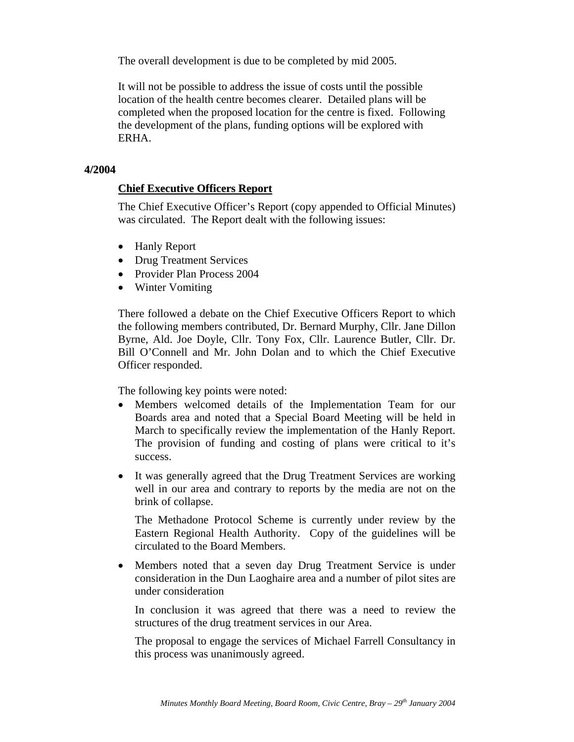The overall development is due to be completed by mid 2005.

It will not be possible to address the issue of costs until the possible location of the health centre becomes clearer. Detailed plans will be completed when the proposed location for the centre is fixed. Following the development of the plans, funding options will be explored with ERHA.

#### **4/2004**

### **Chief Executive Officers Report**

The Chief Executive Officer's Report (copy appended to Official Minutes) was circulated. The Report dealt with the following issues:

- Hanly Report
- Drug Treatment Services
- Provider Plan Process 2004
- Winter Vomiting

There followed a debate on the Chief Executive Officers Report to which the following members contributed, Dr. Bernard Murphy, Cllr. Jane Dillon Byrne, Ald. Joe Doyle, Cllr. Tony Fox, Cllr. Laurence Butler, Cllr. Dr. Bill O'Connell and Mr. John Dolan and to which the Chief Executive Officer responded.

The following key points were noted:

- Members welcomed details of the Implementation Team for our Boards area and noted that a Special Board Meeting will be held in March to specifically review the implementation of the Hanly Report. The provision of funding and costing of plans were critical to it's success.
- It was generally agreed that the Drug Treatment Services are working well in our area and contrary to reports by the media are not on the brink of collapse.

The Methadone Protocol Scheme is currently under review by the Eastern Regional Health Authority. Copy of the guidelines will be circulated to the Board Members.

• Members noted that a seven day Drug Treatment Service is under consideration in the Dun Laoghaire area and a number of pilot sites are under consideration

In conclusion it was agreed that there was a need to review the structures of the drug treatment services in our Area.

The proposal to engage the services of Michael Farrell Consultancy in this process was unanimously agreed.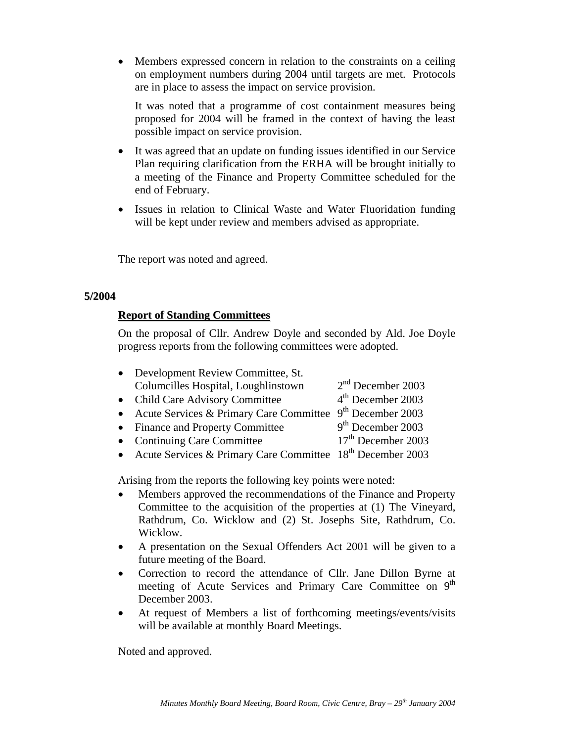• Members expressed concern in relation to the constraints on a ceiling on employment numbers during 2004 until targets are met. Protocols are in place to assess the impact on service provision.

It was noted that a programme of cost containment measures being proposed for 2004 will be framed in the context of having the least possible impact on service provision.

- It was agreed that an update on funding issues identified in our Service Plan requiring clarification from the ERHA will be brought initially to a meeting of the Finance and Property Committee scheduled for the end of February.
- Issues in relation to Clinical Waste and Water Fluoridation funding will be kept under review and members advised as appropriate.

The report was noted and agreed.

### **5/2004**

### **Report of Standing Committees**

On the proposal of Cllr. Andrew Doyle and seconded by Ald. Joe Doyle progress reports from the following committees were adopted.

| • Development Review Committee, St.                           |                     |
|---------------------------------------------------------------|---------------------|
| Columcilles Hospital, Loughlinstown                           | $2nd$ December 2003 |
| • Child Care Advisory Committee                               | $4th$ December 2003 |
| • Acute Services & Primary Care Committee $9th$ December 2003 |                     |
| • Finance and Property Committee                              | $9th$ December 2003 |
|                                                               | $17th$ D. 1. 0002   |

- Continuing Care Committee  $17<sup>th</sup>$  December 2003
- Acute Services & Primary Care Committee  $18<sup>th</sup>$  December 2003

Arising from the reports the following key points were noted:

- Members approved the recommendations of the Finance and Property Committee to the acquisition of the properties at (1) The Vineyard, Rathdrum, Co. Wicklow and (2) St. Josephs Site, Rathdrum, Co. Wicklow.
- A presentation on the Sexual Offenders Act 2001 will be given to a future meeting of the Board.
- Correction to record the attendance of Cllr. Jane Dillon Byrne at meeting of Acute Services and Primary Care Committee on 9<sup>th</sup> December 2003.
- At request of Members a list of forthcoming meetings/events/visits will be available at monthly Board Meetings.

Noted and approved.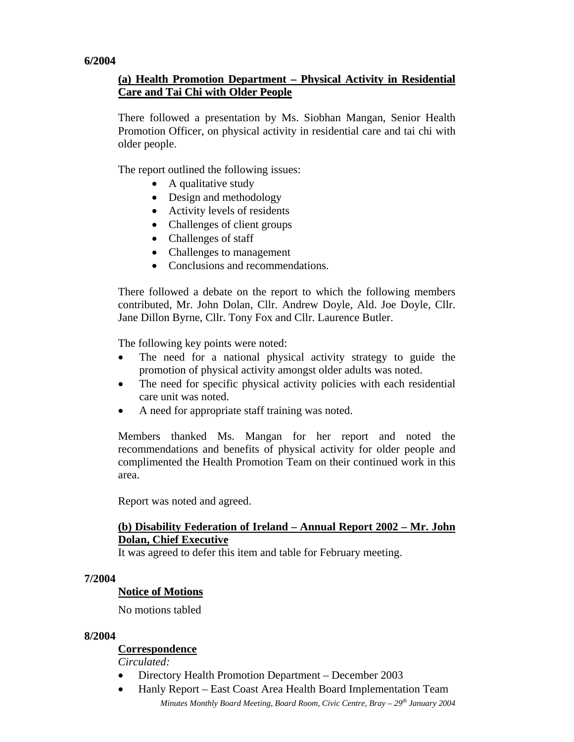### **6/2004**

# **(a) Health Promotion Department – Physical Activity in Residential Care and Tai Chi with Older People**

There followed a presentation by Ms. Siobhan Mangan, Senior Health Promotion Officer, on physical activity in residential care and tai chi with older people.

The report outlined the following issues:

- A qualitative study
- Design and methodology
- Activity levels of residents
- Challenges of client groups
- Challenges of staff
- Challenges to management
- Conclusions and recommendations.

There followed a debate on the report to which the following members contributed, Mr. John Dolan, Cllr. Andrew Doyle, Ald. Joe Doyle, Cllr. Jane Dillon Byrne, Cllr. Tony Fox and Cllr. Laurence Butler.

The following key points were noted:

- The need for a national physical activity strategy to guide the promotion of physical activity amongst older adults was noted.
- The need for specific physical activity policies with each residential care unit was noted.
- A need for appropriate staff training was noted.

Members thanked Ms. Mangan for her report and noted the recommendations and benefits of physical activity for older people and complimented the Health Promotion Team on their continued work in this area.

Report was noted and agreed.

## **(b) Disability Federation of Ireland – Annual Report 2002 – Mr. John Dolan, Chief Executive**

It was agreed to defer this item and table for February meeting.

### **7/2004**

### **Notice of Motions**

No motions tabled

### **8/2004**

# **Correspondence**

*Circulated:* 

- Directory Health Promotion Department December 2003
- *Minutes Monthly Board Meeting, Board Room, Civic Centre, Bray 29<sup>th</sup> January 2004* • Hanly Report – East Coast Area Health Board Implementation Team